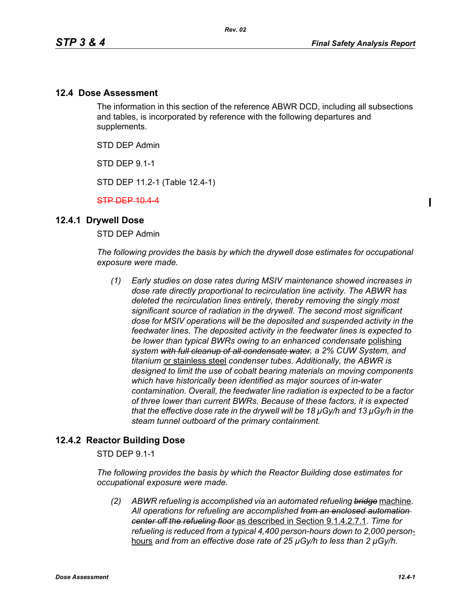$\mathbf I$ 

## **12.4 Dose Assessment**

The information in this section of the reference ABWR DCD, including all subsections and tables, is incorporated by reference with the following departures and supplements.

STD DEP Admin

STD DEP 9.1-1

STD DEP 11.2-1 (Table 12.4-1)

STP DEP 10.4-4

## **12.4.1 Drywell Dose**

STD DEP Admin

*The following provides the basis by which the drywell dose estimates for occupational exposure were made.*

*(1) Early studies on dose rates during MSIV maintenance showed increases in dose rate directly proportional to recirculation line activity. The ABWR has deleted the recirculation lines entirely, thereby removing the singly most significant source of radiation in the drywell. The second most significant dose for MSIV operations will be the deposited and suspended activity in the feedwater lines. The deposited activity in the feedwater lines is expected to be lower than typical BWRs owing to an enhanced condensate* polishing *system with full cleanup of all condensate water, a 2% CUW System, and titanium* or stainless steel *condenser tubes. Additionally, the ABWR is designed to limit the use of cobalt bearing materials on moving components which have historically been identified as major sources of in-water contamination. Overall, the feedwater line radiation is expected to be a factor of three lower than current BWRs. Because of these factors, it is expected that the effective dose rate in the drywell will be 18 µGy/h and 13 µGy/h in the steam tunnel outboard of the primary containment.* 

## **12.4.2 Reactor Building Dose**

STD DEP 9.1-1

*The following provides the basis by which the Reactor Building dose estimates for occupational exposure were made.*

*(2) ABWR refueling is accomplished via an automated refueling bridge* machine*. All operations for refueling are accomplished from an enclosed automation center off the refueling floor* as described in Section 9.1.4.2.7.1*. Time for refueling is reduced from a typical 4,400 person-hours down to 2,000 person*hours *and from an effective dose rate of 25 µGy/h to less than 2 µGy/h.*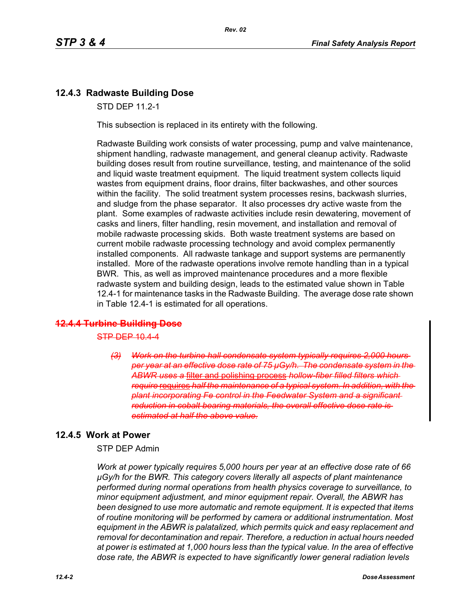# **12.4.3 Radwaste Building Dose**

STD DEP 11.2-1

This subsection is replaced in its entirety with the following.

Radwaste Building work consists of water processing, pump and valve maintenance, shipment handling, radwaste management, and general cleanup activity. Radwaste building doses result from routine surveillance, testing, and maintenance of the solid and liquid waste treatment equipment. The liquid treatment system collects liquid wastes from equipment drains, floor drains, filter backwashes, and other sources within the facility. The solid treatment system processes resins, backwash slurries, and sludge from the phase separator. It also processes dry active waste from the plant. Some examples of radwaste activities include resin dewatering, movement of casks and liners, filter handling, resin movement, and installation and removal of mobile radwaste processing skids. Both waste treatment systems are based on current mobile radwaste processing technology and avoid complex permanently installed components. All radwaste tankage and support systems are permanently installed. More of the radwaste operations involve remote handling than in a typical BWR. This, as well as improved maintenance procedures and a more flexible radwaste system and building design, leads to the estimated value shown in Table 12.4-1 for maintenance tasks in the Radwaste Building. The average dose rate shown in Table 12.4-1 is estimated for all operations.

## **12.4.4 Turbine Building Dose**

 $STP$  DEP 10.4-4

*(3) Work on the turbine hall condensate system typically requires 2,000 hours per year at an effective dose rate of 75 µGy/h. The condensate system in the ABWR uses a* filter and polishing process *hollow-fiber filled filters which require* requires *half the maintenance of a typical system. In addition, with the plant incorporating Fe control in the Feedwater System and a significant reduction in cobalt bearing materials, the overall effective dose rate is estimated at half the above value.*

# **12.4.5 Work at Power**

STP DEP Admin

*Work at power typically requires 5,000 hours per year at an effective dose rate of 66 µGy/h for the BWR. This category covers literally all aspects of plant maintenance performed during normal operations from health physics coverage to surveillance, to minor equipment adjustment, and minor equipment repair. Overall, the ABWR has been designed to use more automatic and remote equipment. It is expected that items of routine monitoring will be performed by camera or additional instrumentation. Most equipment in the ABWR is palatalized, which permits quick and easy replacement and removal for decontamination and repair. Therefore, a reduction in actual hours needed at power is estimated at 1,000 hours less than the typical value. In the area of effective dose rate, the ABWR is expected to have significantly lower general radiation levels*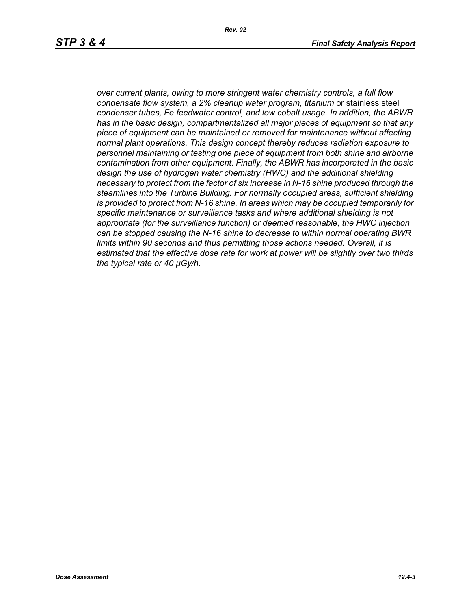*over current plants, owing to more stringent water chemistry controls, a full flow condensate flow system, a 2% cleanup water program, titanium* or stainless steel *condenser tubes, Fe feedwater control, and low cobalt usage. In addition, the ABWR has in the basic design, compartmentalized all major pieces of equipment so that any piece of equipment can be maintained or removed for maintenance without affecting normal plant operations. This design concept thereby reduces radiation exposure to personnel maintaining or testing one piece of equipment from both shine and airborne contamination from other equipment. Finally, the ABWR has incorporated in the basic design the use of hydrogen water chemistry (HWC) and the additional shielding necessary to protect from the factor of six increase in N-16 shine produced through the steamlines into the Turbine Building. For normally occupied areas, sufficient shielding is provided to protect from N-16 shine. In areas which may be occupied temporarily for specific maintenance or surveillance tasks and where additional shielding is not appropriate (for the surveillance function) or deemed reasonable, the HWC injection can be stopped causing the N-16 shine to decrease to within normal operating BWR limits within 90 seconds and thus permitting those actions needed. Overall, it is estimated that the effective dose rate for work at power will be slightly over two thirds the typical rate or 40 µGy/h.*